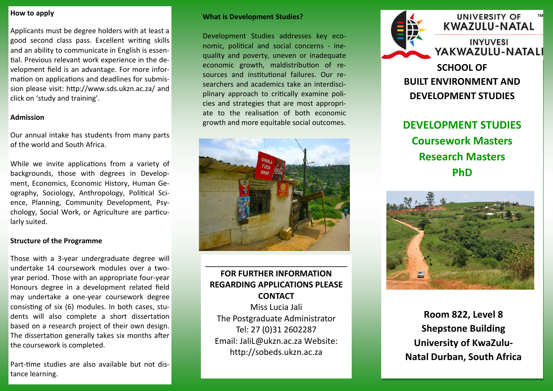### **How to apply**

Applicants must be degree holders with at least a good second class pass. Excellent writing skills and an ability to communicate in English is essential. Previous relevant work experience in the development field is an advantage. For more information on applications and deadlines for submission please visit: http://www.sds.ukzn.ac.za/ and click on 'study and training'.

### **Admission**

Our annual intake has students from many parts of the world and South Africa.

While we invite applications from a variety of backgrounds, those with degrees in Development, Economics, Economic History, Human Geography, Sociology, Anthropology, Political Science, Planning, Community Development, Psychology, Social Work, or Agriculture are particularly suited.

### **Structure of the Programme**

Those with a 3-year undergraduate degree will undertake 14 coursework modules over a twoyear period. Those with an appropriate four-year Honours degree in a development related field may undertake a one-year coursework degree consisting of six (6) modules. In both cases, students will also complete a short dissertation based on a research project of their own design. The dissertation generally takes six months after the coursework is completed.

Part-time studies are also available but not distance learning.

### **What is Development Studies?**

Development Studies addresses key economic, political and social concerns - inequality and poverty, uneven or inadequate economic growth, maldistribution of resources and institutional failures. Our researchers and academics take an interdisciplinary approach to critically examine policies and strategies that are most appropriate to the realisation of both economic growth and more equitable social outcomes.



# **FOR FURTHER INFORMATION REGARDING APPLICATIONS PLEASE CONTACT**

Miss Lucia Jali The Postgraduate Administrator Tel: 27 (0)31 2602287 Email: JaliL@ukzn.ac.za Website: http://sobeds.ukzn.ac.za



# UNIVERSITY OF **KWAZULU-NATAL**

**INYUVESI** YAKWAZULU-NATALI

**SCHOOL OF BUILT ENVIRONMENT AND DEVELOPMENT STUDIES** 

# **DEVELOPMENT STUDIES Coursework Masters Research Masters PhD**



**Room 822, Level 8 Shepstone Building University of KwaZulu-Natal Durban, South Africa**